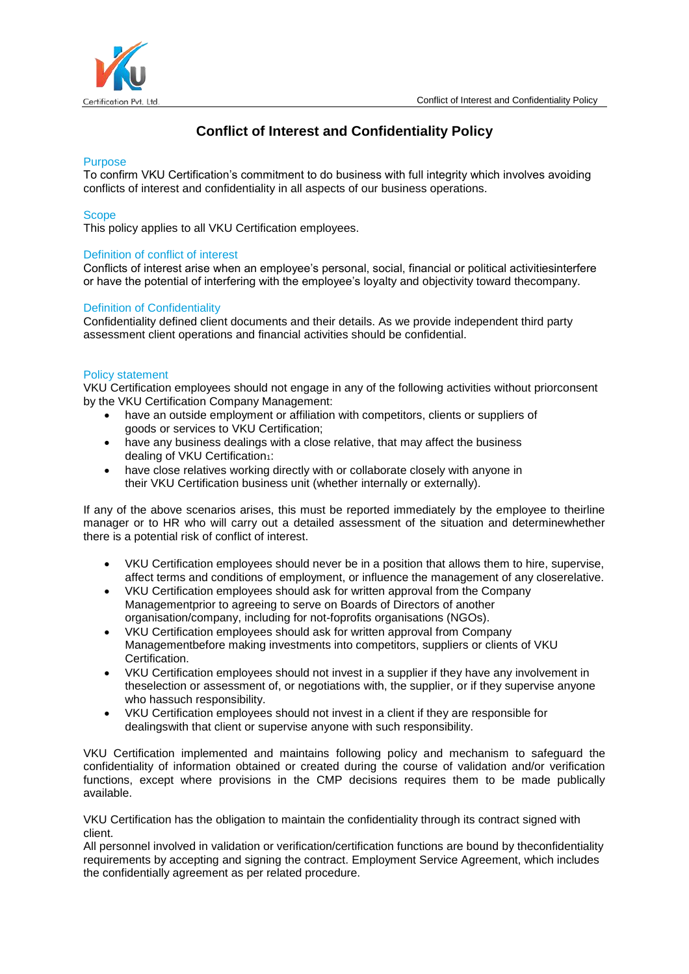

# **Conflict of Interest and Confidentiality Policy**

#### **Purpose**

To confirm VKU Certification's commitment to do business with full integrity which involves avoiding conflicts of interest and confidentiality in all aspects of our business operations.

#### **Scope**

This policy applies to all VKU Certification employees.

#### Definition of conflict of interest

Conflicts of interest arise when an employee's personal, social, financial or political activitiesinterfere or have the potential of interfering with the employee's loyalty and objectivity toward thecompany.

#### Definition of Confidentiality

Confidentiality defined client documents and their details. As we provide independent third party assessment client operations and financial activities should be confidential.

#### Policy statement

VKU Certification employees should not engage in any of the following activities without priorconsent by the VKU Certification Company Management:

- have an outside employment or affiliation with competitors, clients or suppliers of goods or services to VKU Certification;
- have any business dealings with a close relative, that may affect the business dealing of VKU Certification<sub>1</sub>:
- have close relatives working directly with or collaborate closely with anyone in their VKU Certification business unit (whether internally or externally).

If any of the above scenarios arises, this must be reported immediately by the employee to theirline manager or to HR who will carry out a detailed assessment of the situation and determinewhether there is a potential risk of conflict of interest.

- VKU Certification employees should never be in a position that allows them to hire, supervise, affect terms and conditions of employment, or influence the management of any closerelative.
- VKU Certification employees should ask for written approval from the Company Managementprior to agreeing to serve on Boards of Directors of another organisation/company, including for not-foprofits organisations (NGOs).
- VKU Certification employees should ask for written approval from Company Managementbefore making investments into competitors, suppliers or clients of VKU Certification.
- VKU Certification employees should not invest in a supplier if they have any involvement in theselection or assessment of, or negotiations with, the supplier, or if they supervise anyone who hassuch responsibility.
- VKU Certification employees should not invest in a client if they are responsible for dealingswith that client or supervise anyone with such responsibility.

VKU Certification implemented and maintains following policy and mechanism to safeguard the confidentiality of information obtained or created during the course of validation and/or verification functions, except where provisions in the CMP decisions requires them to be made publically available.

VKU Certification has the obligation to maintain the confidentiality through its contract signed with client.

All personnel involved in validation or verification/certification functions are bound by theconfidentiality requirements by accepting and signing the contract. Employment Service Agreement, which includes the confidentially agreement as per related procedure.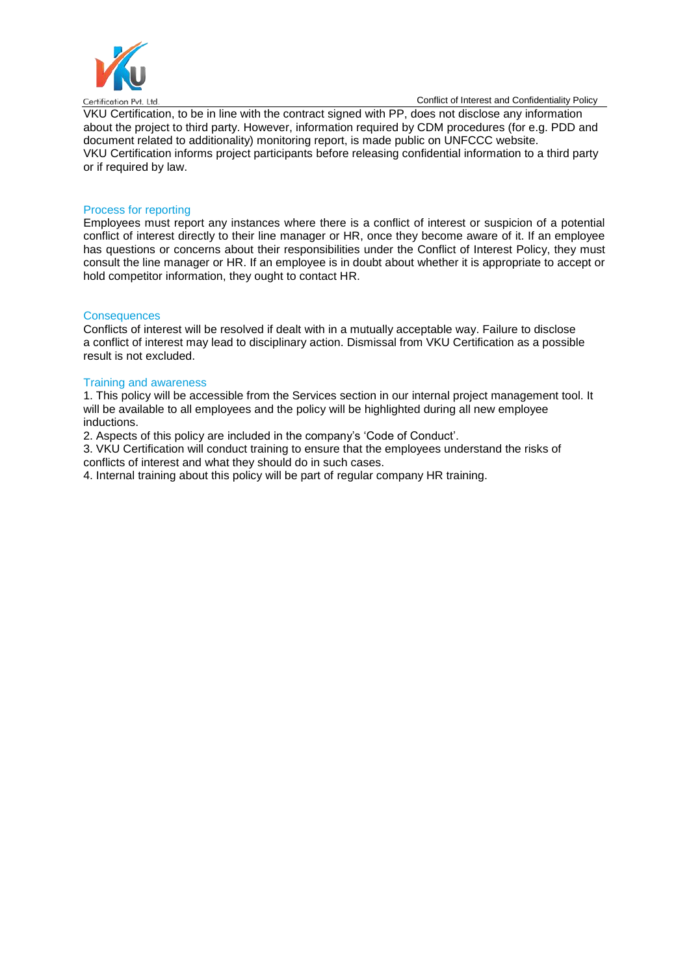

Conflict of Interest and Confidentiality Policy

VKU Certification, to be in line with the contract signed with PP, does not disclose any information about the project to third party. However, information required by CDM procedures (for e.g. PDD and document related to additionality) monitoring report, is made public on UNFCCC website. VKU Certification informs project participants before releasing confidential information to a third party or if required by law.

## Process for reporting

Employees must report any instances where there is a conflict of interest or suspicion of a potential conflict of interest directly to their line manager or HR, once they become aware of it. If an employee has questions or concerns about their responsibilities under the Conflict of Interest Policy, they must consult the line manager or HR. If an employee is in doubt about whether it is appropriate to accept or hold competitor information, they ought to contact HR.

## **Consequences**

Conflicts of interest will be resolved if dealt with in a mutually acceptable way. Failure to disclose a conflict of interest may lead to disciplinary action. Dismissal from VKU Certification as a possible result is not excluded.

### Training and awareness

1. This policy will be accessible from the Services section in our internal project management tool. It will be available to all employees and the policy will be highlighted during all new employee inductions.

2. Aspects of this policy are included in the company's 'Code of Conduct'.

3. VKU Certification will conduct training to ensure that the employees understand the risks of conflicts of interest and what they should do in such cases.

4. Internal training about this policy will be part of regular company HR training.